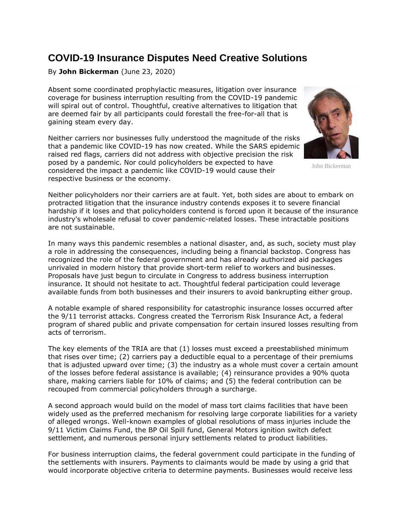## **COVID-19 Insurance Disputes Need Creative Solutions**

By **John Bickerman** (June 23, 2020)

Absent some coordinated prophylactic measures, litigation over insurance coverage for business interruption resulting from the COVID-19 pandemic will spiral out of control. Thoughtful, creative alternatives to litigation that are deemed fair by all participants could forestall the free-for-all that is gaining steam every day.

Neither carriers nor businesses fully understood the magnitude of the risks that a pandemic like COVID-19 has now created. While the SARS epidemic raised red flags, carriers did not address with objective precision the risk posed by a pandemic. Nor could policyholders be expected to have considered the impact a pandemic like COVID-19 would cause their respective business or the economy.



John Bickerman

Neither policyholders nor their carriers are at fault. Yet, both sides are about to embark on protracted litigation that the insurance industry contends exposes it to severe financial hardship if it loses and that policyholders contend is forced upon it because of the insurance industry's wholesale refusal to cover pandemic-related losses. These intractable positions are not sustainable.

In many ways this pandemic resembles a national disaster, and, as such, society must play a role in addressing the consequences, including being a financial backstop. Congress has recognized the role of the federal government and has already authorized aid packages unrivaled in modern history that provide short-term relief to workers and businesses. Proposals have just begun to circulate in Congress to address business interruption insurance. It should not hesitate to act. Thoughtful federal participation could leverage available funds from both businesses and their insurers to avoid bankrupting either group.

A notable example of shared responsibility for catastrophic insurance losses occurred after the 9/11 terrorist attacks. Congress created the Terrorism Risk Insurance Act, a federal program of shared public and private compensation for certain insured losses resulting from acts of terrorism.

The key elements of the TRIA are that (1) losses must exceed a preestablished minimum that rises over time; (2) carriers pay a deductible equal to a percentage of their premiums that is adjusted upward over time; (3) the industry as a whole must cover a certain amount of the losses before federal assistance is available; (4) reinsurance provides a 90% quota share, making carriers liable for 10% of claims; and (5) the federal contribution can be recouped from commercial policyholders through a surcharge.

A second approach would build on the model of mass tort claims facilities that have been widely used as the preferred mechanism for resolving large corporate liabilities for a variety of alleged wrongs. Well-known examples of global resolutions of mass injuries include the 9/11 Victim Claims Fund, the BP Oil Spill fund, General Motors ignition switch defect settlement, and numerous personal injury settlements related to product liabilities.

For business interruption claims, the federal government could participate in the funding of the settlements with insurers. Payments to claimants would be made by using a grid that would incorporate objective criteria to determine payments. Businesses would receive less